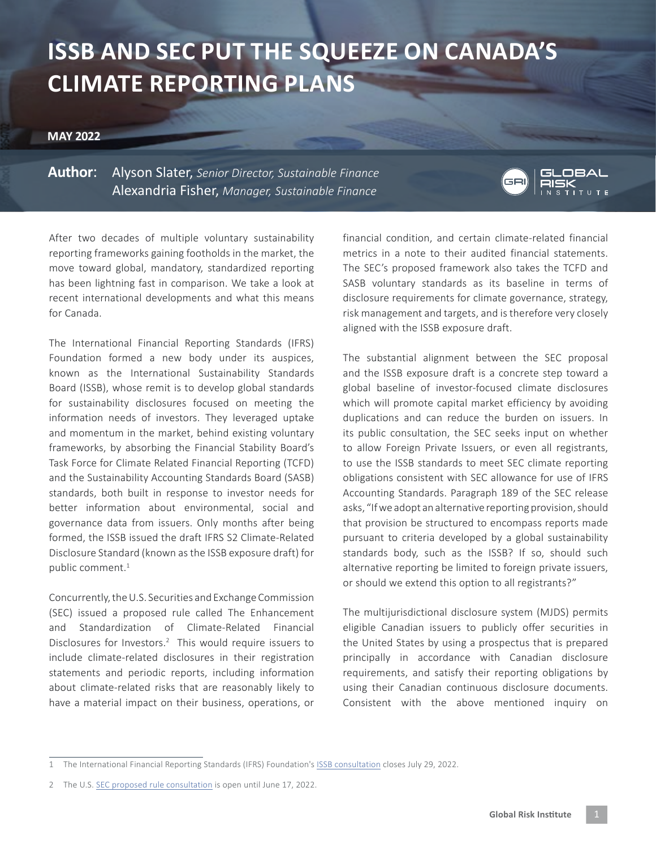## **ISSB AND SEC PUT THE SQUEEZE ON CANADA'S CLIMATE REPORTING PLANS**

## **MAY 2022**

**Author**: Alyson Slater, *Senior Director, Sustainable Finance* Alexandria Fisher, *Manager, Sustainable Finance*



After two decades of multiple voluntary sustainability reporting frameworks gaining footholds in the market, the move toward global, mandatory, standardized reporting has been lightning fast in comparison. We take a look at recent international developments and what this means for Canada.

The International Financial Reporting Standards (IFRS) Foundation formed a new body under its auspices, known as the International Sustainability Standards Board (ISSB), whose remit is to develop global standards for sustainability disclosures focused on meeting the information needs of investors. They leveraged uptake and momentum in the market, behind existing voluntary frameworks, by absorbing the Financial Stability Board's Task Force for Climate Related Financial Reporting (TCFD) and the Sustainability Accounting Standards Board (SASB) standards, both built in response to investor needs for better information about environmental, social and governance data from issuers. Only months after being formed, the ISSB issued the draft IFRS S2 Climate-Related Disclosure Standard (known as the ISSB exposure draft) for public comment.<sup>1</sup>

Concurrently, the U.S. Securities and Exchange Commission (SEC) issued a proposed rule called The Enhancement and Standardization of Climate-Related Financial Disclosures for Investors.<sup>2</sup> This would require issuers to include climate-related disclosures in their registration statements and periodic reports, including information about climate-related risks that are reasonably likely to have a material impact on their business, operations, or

financial condition, and certain climate-related financial metrics in a note to their audited financial statements. The SEC's proposed framework also takes the TCFD and SASB voluntary standards as its baseline in terms of disclosure requirements for climate governance, strategy, risk management and targets, and is therefore very closely aligned with the ISSB exposure draft.

The substantial alignment between the SEC proposal and the ISSB exposure draft is a concrete step toward a global baseline of investor-focused climate disclosures which will promote capital market efficiency by avoiding duplications and can reduce the burden on issuers. In its public consultation, the SEC seeks input on whether to allow Foreign Private Issuers, or even all registrants, to use the ISSB standards to meet SEC climate reporting obligations consistent with SEC allowance for use of IFRS Accounting Standards. Paragraph 189 of the SEC release asks, "If we adopt an alternative reporting provision, should that provision be structured to encompass reports made pursuant to criteria developed by a global sustainability standards body, such as the ISSB? If so, should such alternative reporting be limited to foreign private issuers, or should we extend this option to all registrants?"

The multijurisdictional disclosure system (MJDS) permits eligible Canadian issuers to publicly offer securities in the United States by using a prospectus that is prepared principally in accordance with Canadian disclosure requirements, and satisfy their reporting obligations by using their Canadian continuous disclosure documents. Consistent with the above mentioned inquiry on

<sup>1</sup> The International Financial Reporting Standards (IFRS) Foundation's [ISSB consultation](https://www.ifrs.org/news-and-events/news/2022/03/issb-delivers-proposals-that-create-comprehensive-global-baseline-of-sustainability-disclosures/) closes July 29, 2022.

<sup>2</sup> The U.S. [SEC proposed rule consultation](https://www.sec.gov/regulatory-actions/how-to-submit-comments) is open until June 17, 2022.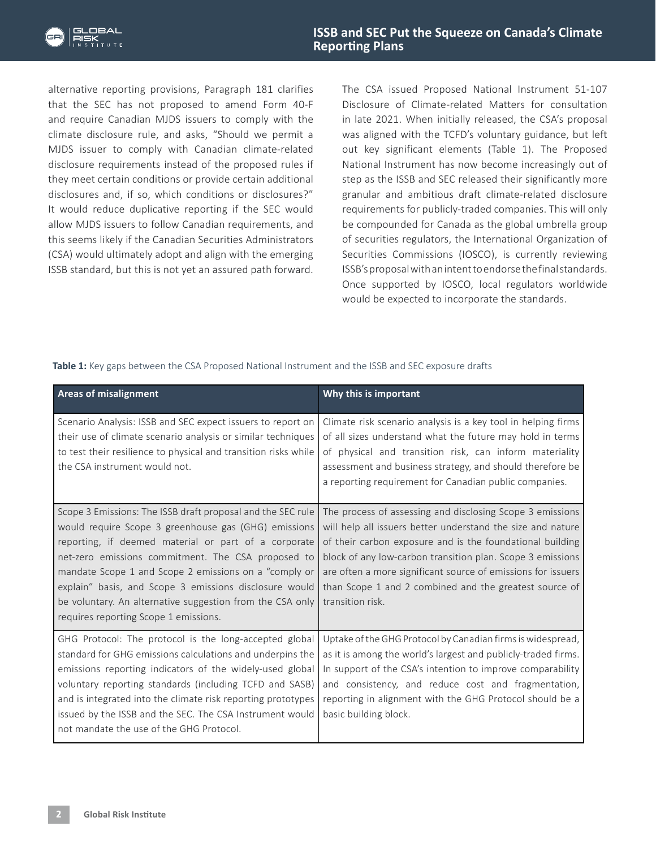

alternative reporting provisions, Paragraph 181 clarifies that the SEC has not proposed to amend Form 40-F and require Canadian MJDS issuers to comply with the climate disclosure rule, and asks, "Should we permit a MJDS issuer to comply with Canadian climate-related disclosure requirements instead of the proposed rules if they meet certain conditions or provide certain additional disclosures and, if so, which conditions or disclosures?" It would reduce duplicative reporting if the SEC would allow MJDS issuers to follow Canadian requirements, and this seems likely if the Canadian Securities Administrators (CSA) would ultimately adopt and align with the emerging ISSB standard, but this is not yet an assured path forward.

The CSA issued Proposed National Instrument 51-107 Disclosure of Climate-related Matters for consultation in late 2021. When initially released, the CSA's proposal was aligned with the TCFD's voluntary guidance, but left out key significant elements (Table 1). The Proposed National Instrument has now become increasingly out of step as the ISSB and SEC released their significantly more granular and ambitious draft climate-related disclosure requirements for publicly-traded companies. This will only be compounded for Canada as the global umbrella group of securities regulators, the International Organization of Securities Commissions (IOSCO), is currently reviewing ISSB's proposal with an intent to endorse the final standards. Once supported by IOSCO, local regulators worldwide would be expected to incorporate the standards.

Table 1: Key gaps between the CSA Proposed National Instrument and the ISSB and SEC exposure drafts

| <b>Areas of misalignment</b>                                                                                                                                                                                                                                                                                                                                                                                                                               | Why this is important                                                                                                                                                                                                                                                                                                                                                                             |
|------------------------------------------------------------------------------------------------------------------------------------------------------------------------------------------------------------------------------------------------------------------------------------------------------------------------------------------------------------------------------------------------------------------------------------------------------------|---------------------------------------------------------------------------------------------------------------------------------------------------------------------------------------------------------------------------------------------------------------------------------------------------------------------------------------------------------------------------------------------------|
| Scenario Analysis: ISSB and SEC expect issuers to report on<br>their use of climate scenario analysis or similar techniques<br>to test their resilience to physical and transition risks while<br>the CSA instrument would not.                                                                                                                                                                                                                            | Climate risk scenario analysis is a key tool in helping firms<br>of all sizes understand what the future may hold in terms<br>of physical and transition risk, can inform materiality<br>assessment and business strategy, and should therefore be<br>a reporting requirement for Canadian public companies.                                                                                      |
| Scope 3 Emissions: The ISSB draft proposal and the SEC rule<br>would require Scope 3 greenhouse gas (GHG) emissions<br>reporting, if deemed material or part of a corporate<br>net-zero emissions commitment. The CSA proposed to<br>mandate Scope 1 and Scope 2 emissions on a "comply or<br>explain" basis, and Scope 3 emissions disclosure would<br>be voluntary. An alternative suggestion from the CSA only<br>requires reporting Scope 1 emissions. | The process of assessing and disclosing Scope 3 emissions<br>will help all issuers better understand the size and nature<br>of their carbon exposure and is the foundational building<br>block of any low-carbon transition plan. Scope 3 emissions<br>are often a more significant source of emissions for issuers<br>than Scope 1 and 2 combined and the greatest source of<br>transition risk. |
| GHG Protocol: The protocol is the long-accepted global<br>standard for GHG emissions calculations and underpins the<br>emissions reporting indicators of the widely-used global<br>voluntary reporting standards (including TCFD and SASB)<br>and is integrated into the climate risk reporting prototypes<br>issued by the ISSB and the SEC. The CSA Instrument would<br>not mandate the use of the GHG Protocol.                                         | Uptake of the GHG Protocol by Canadian firms is widespread,<br>as it is among the world's largest and publicly-traded firms.<br>In support of the CSA's intention to improve comparability<br>and consistency, and reduce cost and fragmentation,<br>reporting in alignment with the GHG Protocol should be a<br>basic building block.                                                            |